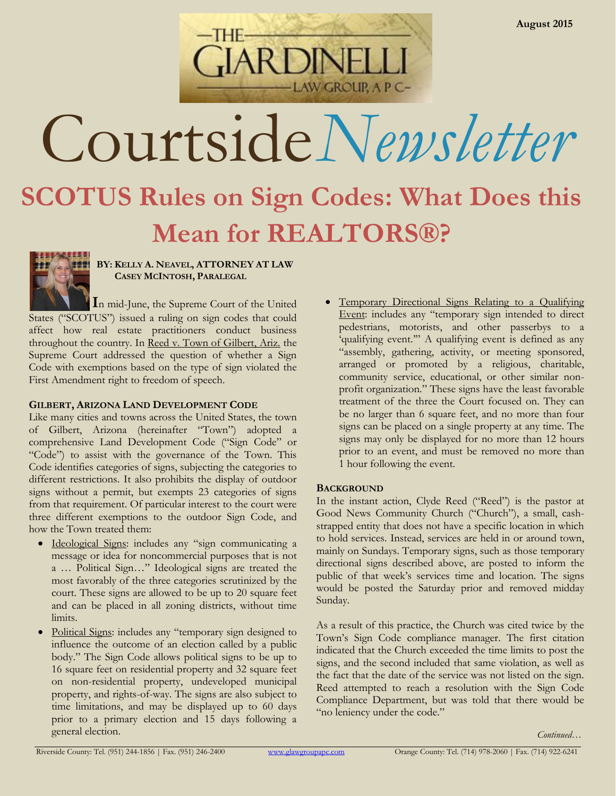

# Courtside*Newsletter*

# **SCOTUS Rules on Sign Codes: What Does this Mean for REALTORS®?**



**BY: KELLY A. NEAVEL, ATTORNEY AT LAW CASEY MCINTOSH, PARALEGAL**

**I**n mid-June, the Supreme Court of the United States ("SCOTUS") issued a ruling on sign codes that could affect how real estate practitioners conduct business throughout the country. In Reed v. Town of Gilbert, Ariz. the Supreme Court addressed the question of whether a Sign Code with exemptions based on the type of sign violated the First Amendment right to freedom of speech.

### **GILBERT, ARIZONA LAND DEVELOPMENT CODE**

Like many cities and towns across the United States, the town of Gilbert, Arizona (hereinafter "Town") adopted a comprehensive Land Development Code ("Sign Code" or "Code") to assist with the governance of the Town. This Code identifies categories of signs, subjecting the categories to different restrictions. It also prohibits the display of outdoor signs without a permit, but exempts 23 categories of signs from that requirement. Of particular interest to the court were three different exemptions to the outdoor Sign Code, and how the Town treated them:

- Ideological Signs: includes any "sign communicating a message or idea for noncommercial purposes that is not a … Political Sign…" Ideological signs are treated the most favorably of the three categories scrutinized by the court. These signs are allowed to be up to 20 square feet and can be placed in all zoning districts, without time limits.
- Political Signs: includes any "temporary sign designed to influence the outcome of an election called by a public body." The Sign Code allows political signs to be up to 16 square feet on residential property and 32 square feet on non-residential property, undeveloped municipal property, and rights-of-way. The signs are also subject to time limitations, and may be displayed up to 60 days prior to a primary election and 15 days following a general election.

 Temporary Directional Signs Relating to a Qualifying Event: includes any "temporary sign intended to direct pedestrians, motorists, and other passerbys to a 'qualifying event.'" A qualifying event is defined as any "assembly, gathering, activity, or meeting sponsored, arranged or promoted by a religious, charitable, community service, educational, or other similar nonprofit organization." These signs have the least favorable treatment of the three the Court focused on. They can be no larger than 6 square feet, and no more than four signs can be placed on a single property at any time. The signs may only be displayed for no more than 12 hours prior to an event, and must be removed no more than 1 hour following the event.

## **BACKGROUND**

In the instant action, Clyde Reed ("Reed") is the pastor at Good News Community Church ("Church"), a small, cashstrapped entity that does not have a specific location in which to hold services. Instead, services are held in or around town, mainly on Sundays. Temporary signs, such as those temporary directional signs described above, are posted to inform the public of that week's services time and location. The signs would be posted the Saturday prior and removed midday Sunday.

As a result of this practice, the Church was cited twice by the Town's Sign Code compliance manager. The first citation indicated that the Church exceeded the time limits to post the signs, and the second included that same violation, as well as the fact that the date of the service was not listed on the sign. Reed attempted to reach a resolution with the Sign Code Compliance Department, but was told that there would be "no leniency under the code."